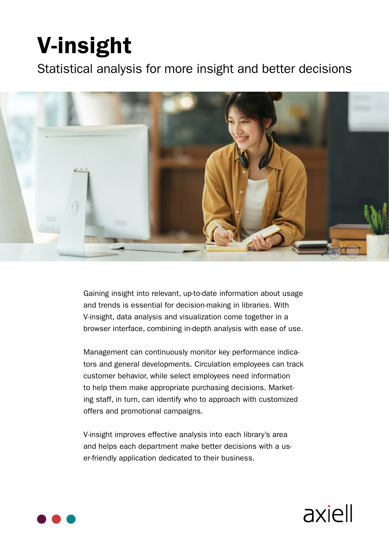# **V-insight**

Statistical analysis for more insight and better decisions



Gaining insight into relevant, up-to-date information about usage and trends is essential for decision-making in libraries. With V-insight, data analysis and visualization come together in a browser interface, combining in-depth analysis with ease of use.

tors and general developments. Circulation employees can track Management can continuously monitor key performance indicacustomer behavior, while select employees need information ing staff, in turn, can identify who to approach with customized to help them make appropriate purchasing decisions. Marketoffers and promotional campaigns.

V-insight improves effective analysis into each library's area and helps each department make better decisions with a us-<br>er-friendly application dedicated to their business.

axiell

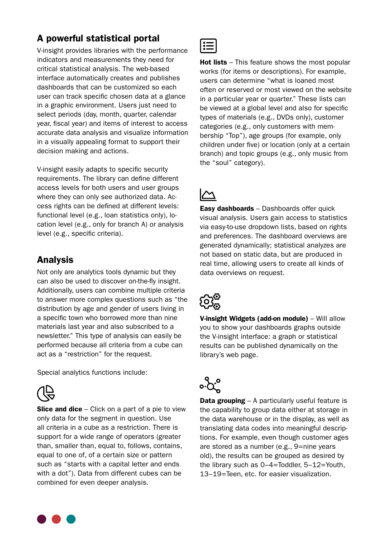### A powerful statistical portal

V-insight provides libraries with the performance indicators and measurements they need for critical statistical analysis. The web-based interface automatically creates and publishes dashboards that can be customized so each user can track specific chosen data at a glance in a graphic environment. Users just need to select periods (day, month, quarter, calendar year, fiscal year) and items of interest to access accurate data analysis and visualize information in a visually appealing format to support their decision making and actions.

V-insight easily adapts to specific security requirements. The library can define different access levels for both users and user groups cess rights can be defined at different levels: where they can only see authorized data. Accation level (e.g., only for branch A) or analysis functional level (e.g., loan statistics only), lolevel (e.g., specific criteria).

## Analysis

Not only are analytics tools dynamic but they can also be used to discover on-the-fly insight. Additionally, users can combine multiple criteria to answer more complex questions such as "the distribution by age and gender of users living in a specific town who borrowed more than nine materials last vear and also subscribed to a newsletter." This type of analysis can easily be performed because all criteria from a cube can act as a "restriction" for the request.

Special analytics functions include:



**Slice and dice** – Click on a part of a pie to view only data for the segment in question. Use all criteria in a cube as a restriction. There is support for a wide range of operators (greater than, smaller than, equal to, follows, contains, equal to one of, of a certain size or pattern such as "starts with a capital letter and ends with a dot"). Data from different cubes can be combined for even deeper analysis.



**Hot lists** – This feature shows the most popular works (for items or descriptions). For example, users can determine "what is loaned most often or reserved or most viewed on the website in a particular year or quarter." These lists can be viewed at a global level and also for specific types of materials (e.g., DVDs only), customer bership "Top"), age groups (for example, only categories (e.g., only customers with memchildren under five) or location (only at a certain branch) and topic groups (e.g., only music from the "soul" category).

**Easy dashboards** – Dashboards offer quick visual analysis. Users gain access to statistics via easy-to-use dropdown lists, based on rights and preferences. The dashboard overviews are generated dynamically; statistical analyzes are not based on static data, but are produced in real time, allowing users to create all kinds of data overviews on request.



**V-insight Widgets (add-on module)** – Will allow you to show your dashboards graphs outside the V-insight interface: a graph or statistical results can be published dynamically on the library's web page.



**Data grouping** – A particularly useful feature is the capability to group data either at storage in the data warehouse or in the display, as well as tions. For example, even though customer ages translating data codes into meaningful descripare stored as a number (e.g., 9=nine years old), the results can be grouped as desired by the library such as  $0-4=$ Toddler,  $5-12=$ Youth, 13-19=Teen, etc. for easier visualization.

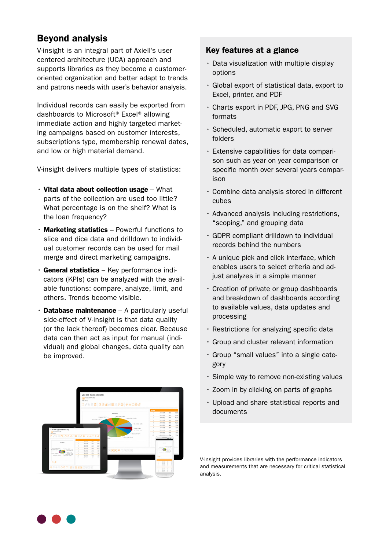### **Beyond analysis**

V-insight is an integral part of Axiell's user centered architecture (UCA) approach and oriented organization and better adapt to trends supports libraries as they become a customerand patrons needs with user's behavior analysis.

Individual records can easily be exported from dashboards to Microsoft<sup>®</sup> Excel<sup>®</sup> allowing ing campaigns based on customer interests. immediate action and highly targeted marketsubscriptions type, membership renewal dates, and low or high material demand.

V-insight delivers multiple types of statistics:

- Vital data about collection usage  $-$  What parts of the collection are used too little? What percentage is on the shelf? What is the loan frequency?
- $\cdot$  Marketing statistics Powerful functions to ual customer records can be used for mail slice and dice data and drilldown to individmerge and direct marketing campaigns.
- able functions: compare, analyze, limit, and cators (KPIs) can be analyzed with the avail- $\cdot$  General statistics – Key performance indiothers. Trends become visible.
- $\cdot$  Database maintenance A particularly useful side-effect of V-insight is that data quality (or the lack thereof) becomes clear. Because vidual) and global changes, data quality can data can then act as input for manual (indibe improved.



### Key features at a glance

- $\cdot$  Data visualization with multiple display options
- $\cdot$  Global export of statistical data, export to Excel, printer, and PDF
- Charts export in PDF, JPG, PNG and SVG formats
- · Scheduled, automatic export to server folders
- son such as year on year comparison or  $\cdot$  Extensive capabilities for data comparispecific month over several years compar-<br>ison
- $\cdot$  Combine data analysis stored in different cubes
- Advanced analysis including restrictions, " scoping," and grouping data
- GDPR compliant drilldown to individual records behind the numbers
- $\cdot$  A unique pick and click interface, which enables users to select criteria and ad-<br>just analyzes in a simple manner
- Creation of private or group dashboards and breakdown of dashboards according to available values, data updates and processing
- Restrictions for analyzing specific data
- $\cdot$  Group and cluster relevant information
- Group "small values" into a single cate-<br>gory
- Simple way to remove non-existing values
- $\cdot$  Zoom in by clicking on parts of graphs
- Upload and share statistical reports and documents

V-insight provides libraries with the performance indicators and measurements that are necessary for critical statistical .analysis